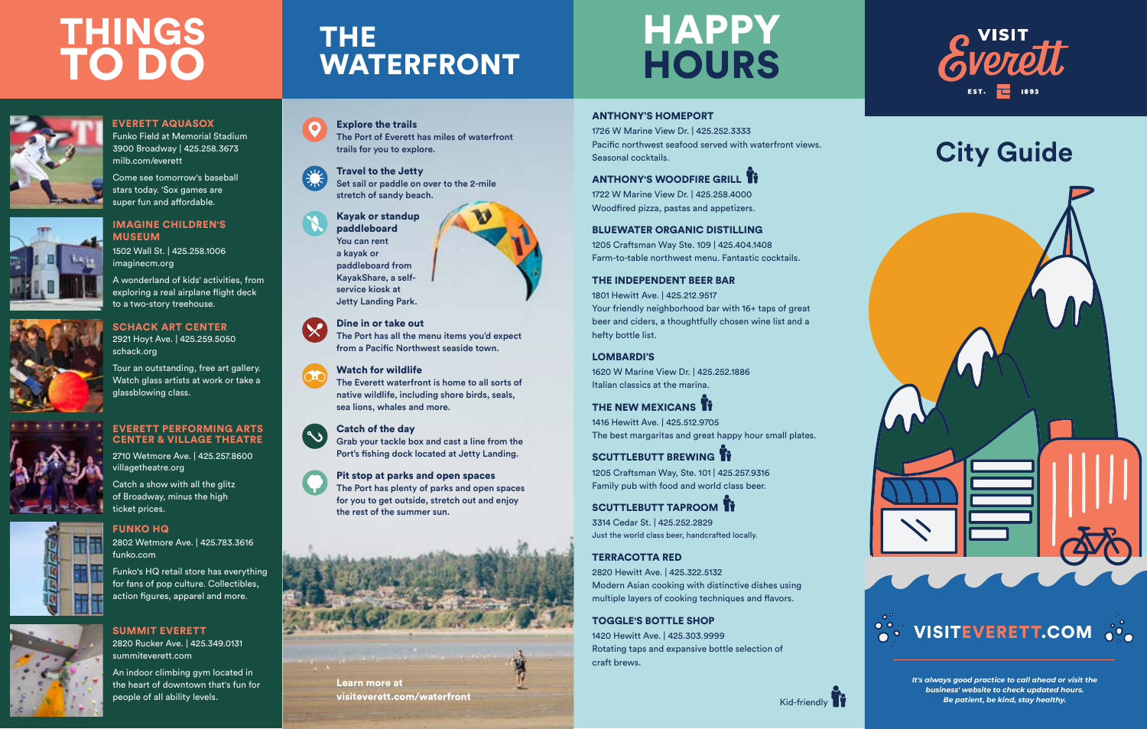#### ANTHONY'S HOMEPORT

1726 W Marine View Dr. | 425.252.3333 Pacific northwest seafood served with waterfront views. Seasonal cocktails.

# **ANTHONY'S WOODFIRE GRILL**

1722 W Marine View Dr. | 425.258.4000 Woodfired pizza, pastas and appetizers.

#### BLUEWATER ORGANIC DISTILLING

1205 Craftsman Way Ste. 109 | 425.404.1408 Farm-to-table northwest menu. Fantastic cocktails.

THE NEW MEXICANS **I**T 1416 Hewitt Ave. | 425.512.9705 The best margaritas and great happy hour small plates.

## THE INDEPENDENT BEER BAR

SCUTTLEBUTT BREWING IT 1205 Craftsman Way, Ste. 101 | 425.257.9316 Family pub with food and world class beer.

1801 Hewitt Ave. | 425.212.9517 Your friendly neighborhood bar with 16+ taps of great beer and ciders, a thoughtfully chosen wine list and a hefty bottle list.

SCUTTLEBUTT TAPROOM IT 3314 Cedar St. | 425.252.2829 Just the world class beer, handcrafted locally.

#### LOMBARDI'S

1620 W Marine View Dr. | 425.252.1886 Italian classics at the marina.

## IMAGINE CHILDREN'S **MUSEUM**

## TERRACOTTA RED

2820 Hewitt Ave. | 425.322.5132 Modern Asian cooking with distinctive dishes using multiple layers of cooking techniques and flavors.

# HAPPY **HOURS**

# **THINGS** TO DO



### TOGGLE'S BOTTLE SHOP

1420 Hewitt Ave. | 425.303.9999 Rotating taps and expansive bottle selection of craft brews.



Kid-friendly

## EVERETT PERFORMING ARTS CENTER & VILLAGE THEATRE

FUNKO HQ

SUMMIT EVERETT

1502 Wall St. | 425.258.1006 imaginecm.org

### SCHACK ART CENTER 2921 Hoyt Ave. | 425.259.5050 schack.org

A wonderland of kids' activities, from exploring a real airplane flight deck to a two-story treehouse.



Tour an outstanding, free art gallery. Watch glass artists at work or take a glassblowing class.



2710 Wetmore Ave. | 425.257.8600 villagetheatre.org

Catch a show with all the glitz of Broadway, minus the high ticket prices.

2802 Wetmore Ave. | 425.783.3616

funko.com

Funko's HQ retail store has everything



## for fans of pop culture. Collectibles, action figures, apparel and more.

2820 Rucker Ave. | 425.349.0131

summiteverett.com

An indoor climbing gym located in the heart of downtown that's fun for







people of all ability levels.

THE

Explore the trails

The Port of Everett has miles of waterfront

trails for you to explore.

Travel to the Jetty

Set sail or paddle on over to the 2-mile



stretch of sandy beach.

Kayak or standup paddleboard You can rent a kayak or

paddleboard from KayakShare, a selfservice kiosk at Jetty Landing Park.

Dine in or take out

The Port has all the menu items you'd expect from a Pacific Northwest seaside town.

**WATERFRONT** 

## Watch for wildlife

The Everett waterfront is home to all sorts of native wildlife, including shore birds, seals, sea lions, whales and more.

#### Catch of the day

Grab your tackle box and cast a line from the Port's fishing dock located at Jetty Landing.

 $\sim$ 

Pit stop at parks and open spaces



The Port has plenty of parks and open spaces for you to get outside, stretch out and enjoy

the rest of the summer sun.

## EVERETT AQUASOX

Funko Field at Memorial Stadium 3900 Broadway | 425.258.3673 milb.com/everett

Come see tomorrow's baseball stars today. 'Sox games are super fun and affordable.



Learn more at visiteverett.com/waterfront

# **City Guide**



*It's always good practice to call ahead or visit the business' website to check updated hours. Be patient, be kind, stay healthy.*